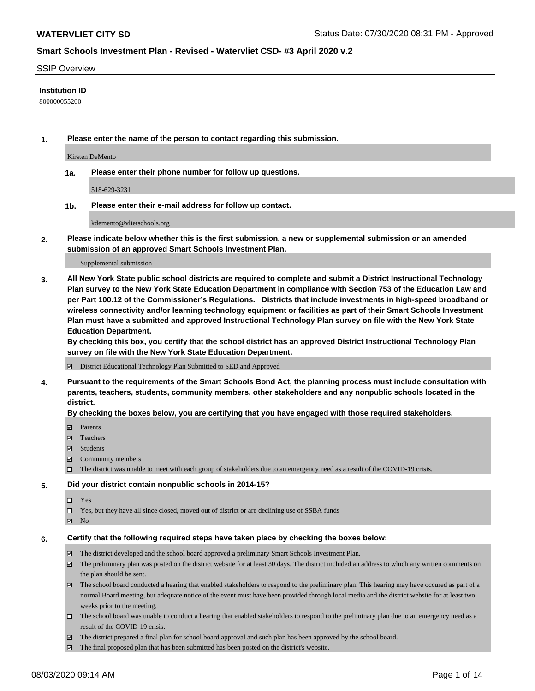#### SSIP Overview

### **Institution ID**

800000055260

**1. Please enter the name of the person to contact regarding this submission.**

Kirsten DeMento

**1a. Please enter their phone number for follow up questions.**

518-629-3231

**1b. Please enter their e-mail address for follow up contact.**

kdemento@vlietschools.org

**2. Please indicate below whether this is the first submission, a new or supplemental submission or an amended submission of an approved Smart Schools Investment Plan.**

#### Supplemental submission

**3. All New York State public school districts are required to complete and submit a District Instructional Technology Plan survey to the New York State Education Department in compliance with Section 753 of the Education Law and per Part 100.12 of the Commissioner's Regulations. Districts that include investments in high-speed broadband or wireless connectivity and/or learning technology equipment or facilities as part of their Smart Schools Investment Plan must have a submitted and approved Instructional Technology Plan survey on file with the New York State Education Department.** 

**By checking this box, you certify that the school district has an approved District Instructional Technology Plan survey on file with the New York State Education Department.**

District Educational Technology Plan Submitted to SED and Approved

**4. Pursuant to the requirements of the Smart Schools Bond Act, the planning process must include consultation with parents, teachers, students, community members, other stakeholders and any nonpublic schools located in the district.** 

#### **By checking the boxes below, you are certifying that you have engaged with those required stakeholders.**

- **Parents**
- Teachers
- Students
- $\boxtimes$  Community members
- The district was unable to meet with each group of stakeholders due to an emergency need as a result of the COVID-19 crisis.

#### **5. Did your district contain nonpublic schools in 2014-15?**

- $\neg$  Yes
- Yes, but they have all since closed, moved out of district or are declining use of SSBA funds
- **Z** No

#### **6. Certify that the following required steps have taken place by checking the boxes below:**

- The district developed and the school board approved a preliminary Smart Schools Investment Plan.
- $\boxtimes$  The preliminary plan was posted on the district website for at least 30 days. The district included an address to which any written comments on the plan should be sent.
- $\boxtimes$  The school board conducted a hearing that enabled stakeholders to respond to the preliminary plan. This hearing may have occured as part of a normal Board meeting, but adequate notice of the event must have been provided through local media and the district website for at least two weeks prior to the meeting.
- The school board was unable to conduct a hearing that enabled stakeholders to respond to the preliminary plan due to an emergency need as a result of the COVID-19 crisis.
- The district prepared a final plan for school board approval and such plan has been approved by the school board.
- $\boxtimes$  The final proposed plan that has been submitted has been posted on the district's website.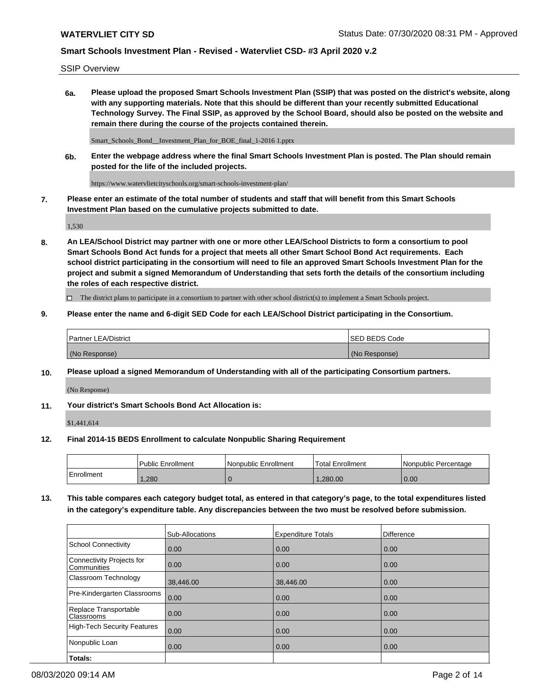SSIP Overview

**6a. Please upload the proposed Smart Schools Investment Plan (SSIP) that was posted on the district's website, along with any supporting materials. Note that this should be different than your recently submitted Educational Technology Survey. The Final SSIP, as approved by the School Board, should also be posted on the website and remain there during the course of the projects contained therein.**

Smart\_Schools\_Bond\_\_Investment\_Plan\_for\_BOE\_final\_1-2016 1.pptx

**6b. Enter the webpage address where the final Smart Schools Investment Plan is posted. The Plan should remain posted for the life of the included projects.**

https://www.watervlietcityschools.org/smart-schools-investment-plan/

**7. Please enter an estimate of the total number of students and staff that will benefit from this Smart Schools Investment Plan based on the cumulative projects submitted to date.**

1,530

**8. An LEA/School District may partner with one or more other LEA/School Districts to form a consortium to pool Smart Schools Bond Act funds for a project that meets all other Smart School Bond Act requirements. Each school district participating in the consortium will need to file an approved Smart Schools Investment Plan for the project and submit a signed Memorandum of Understanding that sets forth the details of the consortium including the roles of each respective district.**

 $\Box$  The district plans to participate in a consortium to partner with other school district(s) to implement a Smart Schools project.

## **9. Please enter the name and 6-digit SED Code for each LEA/School District participating in the Consortium.**

| Partner LEA/District | <b>ISED BEDS Code</b> |
|----------------------|-----------------------|
| (No Response)        | (No Response)         |

## **10. Please upload a signed Memorandum of Understanding with all of the participating Consortium partners.**

(No Response)

**11. Your district's Smart Schools Bond Act Allocation is:**

\$1,441,614

#### **12. Final 2014-15 BEDS Enrollment to calculate Nonpublic Sharing Requirement**

|            | Public Enrollment | Nonpublic Enrollment | Total Enrollment | Nonpublic Percentage |
|------------|-------------------|----------------------|------------------|----------------------|
| Enrollment | .280              |                      | .280.00          | 0.00                 |

**13. This table compares each category budget total, as entered in that category's page, to the total expenditures listed in the category's expenditure table. Any discrepancies between the two must be resolved before submission.**

|                                          | Sub-Allocations | <b>Expenditure Totals</b> | <b>Difference</b> |
|------------------------------------------|-----------------|---------------------------|-------------------|
| <b>School Connectivity</b>               | 0.00            | 0.00                      | 0.00              |
| Connectivity Projects for<br>Communities | 0.00            | 0.00                      | 0.00              |
| Classroom Technology                     | 38,446.00       | 38,446.00                 | 0.00              |
| Pre-Kindergarten Classrooms              | 0.00            | 0.00                      | 0.00              |
| Replace Transportable<br>Classrooms      | 0.00            | 0.00                      | 0.00              |
| <b>High-Tech Security Features</b>       | 0.00            | 0.00                      | 0.00              |
| Nonpublic Loan                           | 0.00            | 0.00                      | 0.00              |
| Totals:                                  |                 |                           |                   |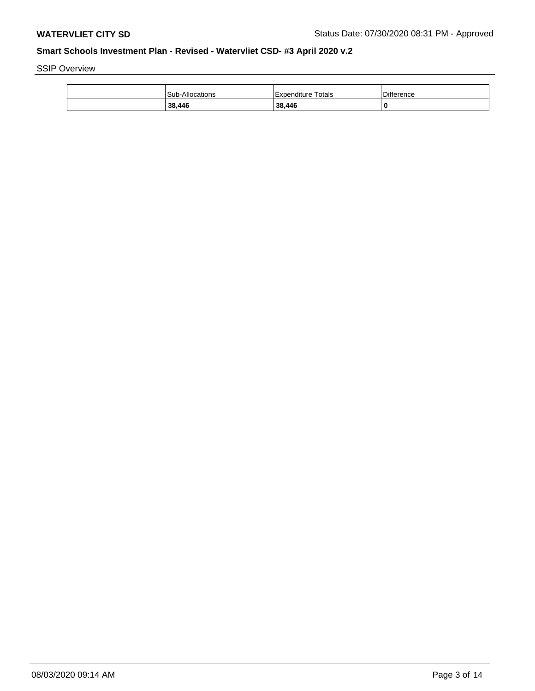SSIP Overview

| 38,446                 | 38,446               | -0                |
|------------------------|----------------------|-------------------|
| <b>Sub-Allocations</b> | l Expenditure Totals | <b>Difference</b> |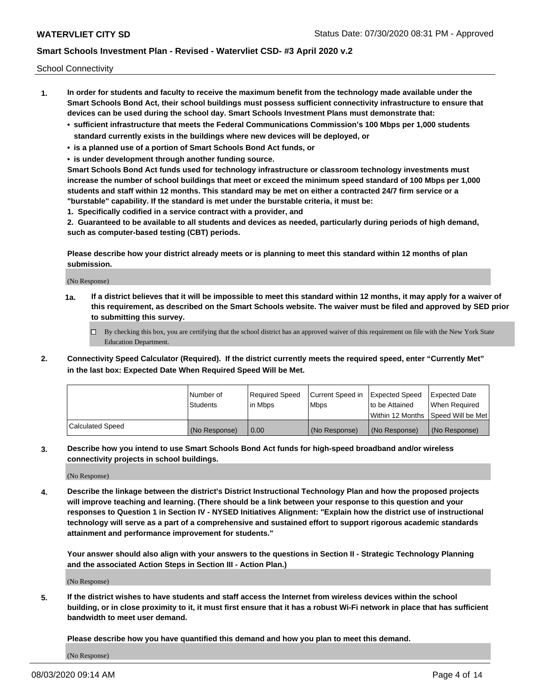School Connectivity

- **1. In order for students and faculty to receive the maximum benefit from the technology made available under the Smart Schools Bond Act, their school buildings must possess sufficient connectivity infrastructure to ensure that devices can be used during the school day. Smart Schools Investment Plans must demonstrate that:**
	- **• sufficient infrastructure that meets the Federal Communications Commission's 100 Mbps per 1,000 students standard currently exists in the buildings where new devices will be deployed, or**
	- **• is a planned use of a portion of Smart Schools Bond Act funds, or**
	- **• is under development through another funding source.**

**Smart Schools Bond Act funds used for technology infrastructure or classroom technology investments must increase the number of school buildings that meet or exceed the minimum speed standard of 100 Mbps per 1,000 students and staff within 12 months. This standard may be met on either a contracted 24/7 firm service or a "burstable" capability. If the standard is met under the burstable criteria, it must be:**

**1. Specifically codified in a service contract with a provider, and**

**2. Guaranteed to be available to all students and devices as needed, particularly during periods of high demand, such as computer-based testing (CBT) periods.**

**Please describe how your district already meets or is planning to meet this standard within 12 months of plan submission.**

(No Response)

**1a. If a district believes that it will be impossible to meet this standard within 12 months, it may apply for a waiver of this requirement, as described on the Smart Schools website. The waiver must be filed and approved by SED prior to submitting this survey.**

 $\Box$  By checking this box, you are certifying that the school district has an approved waiver of this requirement on file with the New York State Education Department.

**2. Connectivity Speed Calculator (Required). If the district currently meets the required speed, enter "Currently Met" in the last box: Expected Date When Required Speed Will be Met.**

|                  | l Number of     | Required Speed | Current Speed in | Expected Speed | Expected Date                           |
|------------------|-----------------|----------------|------------------|----------------|-----------------------------------------|
|                  | <b>Students</b> | In Mbps        | l Mbps           | to be Attained | When Required                           |
|                  |                 |                |                  |                | l Within 12 Months ISpeed Will be Met l |
| Calculated Speed | (No Response)   | 0.00           | (No Response)    | (No Response)  | (No Response)                           |

**3. Describe how you intend to use Smart Schools Bond Act funds for high-speed broadband and/or wireless connectivity projects in school buildings.**

(No Response)

**4. Describe the linkage between the district's District Instructional Technology Plan and how the proposed projects will improve teaching and learning. (There should be a link between your response to this question and your responses to Question 1 in Section IV - NYSED Initiatives Alignment: "Explain how the district use of instructional technology will serve as a part of a comprehensive and sustained effort to support rigorous academic standards attainment and performance improvement for students."** 

**Your answer should also align with your answers to the questions in Section II - Strategic Technology Planning and the associated Action Steps in Section III - Action Plan.)**

(No Response)

**5. If the district wishes to have students and staff access the Internet from wireless devices within the school building, or in close proximity to it, it must first ensure that it has a robust Wi-Fi network in place that has sufficient bandwidth to meet user demand.**

**Please describe how you have quantified this demand and how you plan to meet this demand.**

(No Response)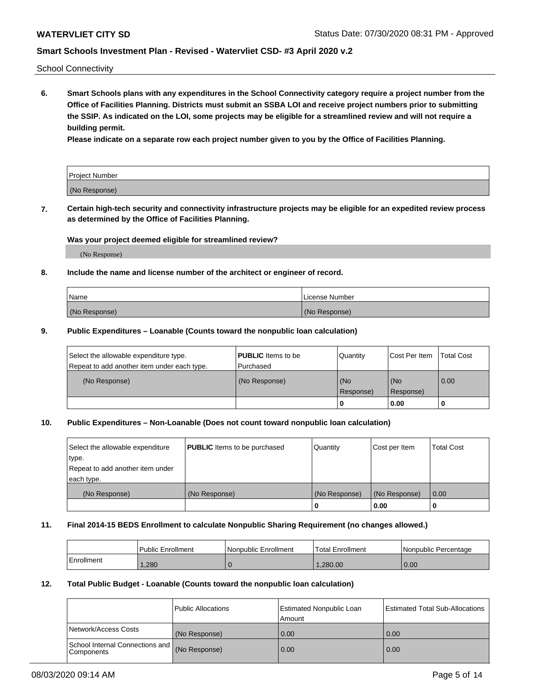School Connectivity

**6. Smart Schools plans with any expenditures in the School Connectivity category require a project number from the Office of Facilities Planning. Districts must submit an SSBA LOI and receive project numbers prior to submitting the SSIP. As indicated on the LOI, some projects may be eligible for a streamlined review and will not require a building permit.**

**Please indicate on a separate row each project number given to you by the Office of Facilities Planning.**

| Project Number |  |
|----------------|--|
| (No Response)  |  |

**7. Certain high-tech security and connectivity infrastructure projects may be eligible for an expedited review process as determined by the Office of Facilities Planning.**

## **Was your project deemed eligible for streamlined review?**

(No Response)

## **8. Include the name and license number of the architect or engineer of record.**

| Name          | License Number |
|---------------|----------------|
| (No Response) | (No Response)  |

### **9. Public Expenditures – Loanable (Counts toward the nonpublic loan calculation)**

| Select the allowable expenditure type.<br>Repeat to add another item under each type. | <b>PUBLIC</b> Items to be<br>l Purchased | Quantity           | Cost Per Item    | <b>Total Cost</b> |
|---------------------------------------------------------------------------------------|------------------------------------------|--------------------|------------------|-------------------|
| (No Response)                                                                         | (No Response)                            | l (No<br>Response) | (No<br>Response) | $\overline{0.00}$ |
|                                                                                       |                                          | O                  | 0.00             |                   |

## **10. Public Expenditures – Non-Loanable (Does not count toward nonpublic loan calculation)**

| Select the allowable expenditure<br>type.<br>Repeat to add another item under<br>each type. | <b>PUBLIC</b> Items to be purchased | Quantity      | Cost per Item | <b>Total Cost</b> |
|---------------------------------------------------------------------------------------------|-------------------------------------|---------------|---------------|-------------------|
| (No Response)                                                                               | (No Response)                       | (No Response) | (No Response) | 0.00              |
|                                                                                             |                                     |               | 0.00          |                   |

#### **11. Final 2014-15 BEDS Enrollment to calculate Nonpublic Sharing Requirement (no changes allowed.)**

|            | Public Enrollment | Nonpublic Enrollment | <b>Total Enrollment</b> | l Nonpublic Percentage |
|------------|-------------------|----------------------|-------------------------|------------------------|
| Enrollment | ,280              |                      | .280.00                 | 0.00                   |

## **12. Total Public Budget - Loanable (Counts toward the nonpublic loan calculation)**

|                                                      | Public Allocations | <b>Estimated Nonpublic Loan</b><br>Amount | Estimated Total Sub-Allocations |
|------------------------------------------------------|--------------------|-------------------------------------------|---------------------------------|
| Network/Access Costs                                 | (No Response)      | 0.00                                      | 0.00                            |
| School Internal Connections and<br><b>Components</b> | (No Response)      | 0.00                                      | 0.00                            |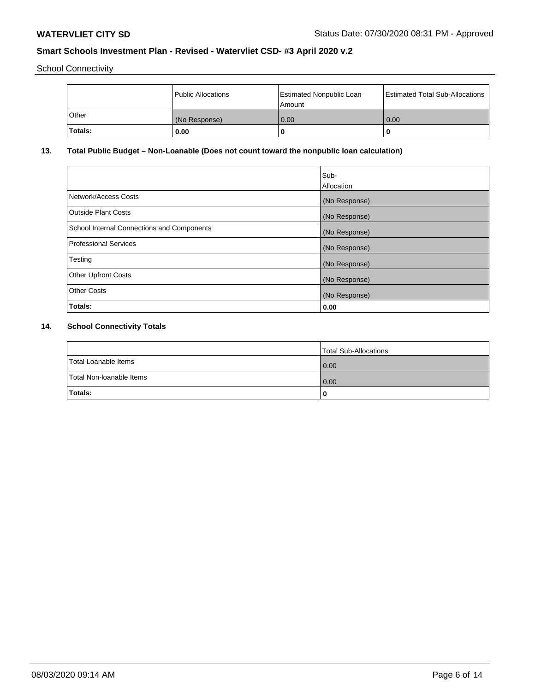School Connectivity

|                | Public Allocations | <b>Estimated Nonpublic Loan</b><br>l Amount | <b>Estimated Total Sub-Allocations</b> |
|----------------|--------------------|---------------------------------------------|----------------------------------------|
| l Other        | (No Response)      | 0.00                                        | 0.00                                   |
| <b>Totals:</b> | 0.00               | 0                                           |                                        |

# **13. Total Public Budget – Non-Loanable (Does not count toward the nonpublic loan calculation)**

|                                                   | Sub-<br>Allocation |
|---------------------------------------------------|--------------------|
|                                                   |                    |
| Network/Access Costs                              | (No Response)      |
| <b>Outside Plant Costs</b>                        | (No Response)      |
| <b>School Internal Connections and Components</b> | (No Response)      |
| Professional Services                             | (No Response)      |
| Testing                                           | (No Response)      |
| <b>Other Upfront Costs</b>                        | (No Response)      |
| <b>Other Costs</b>                                | (No Response)      |
| <b>Totals:</b>                                    | 0.00               |

# **14. School Connectivity Totals**

|                          | Total Sub-Allocations |
|--------------------------|-----------------------|
| Total Loanable Items     | 0.00                  |
| Total Non-Ioanable Items | 0.00                  |
| Totals:                  | 0                     |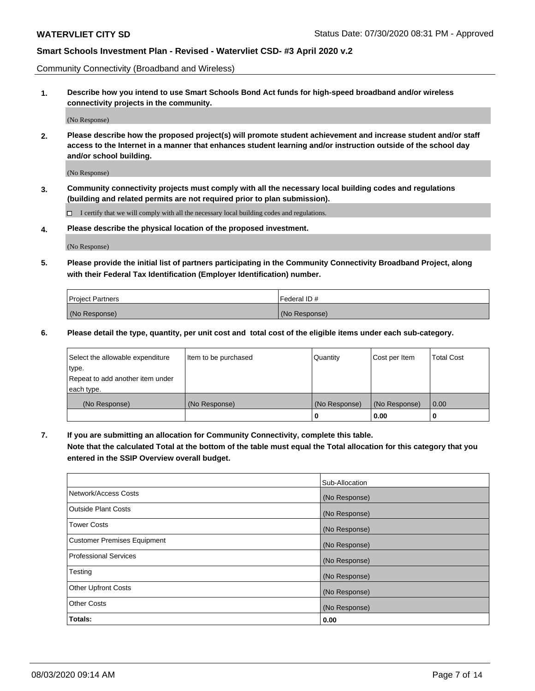Community Connectivity (Broadband and Wireless)

**1. Describe how you intend to use Smart Schools Bond Act funds for high-speed broadband and/or wireless connectivity projects in the community.**

(No Response)

**2. Please describe how the proposed project(s) will promote student achievement and increase student and/or staff access to the Internet in a manner that enhances student learning and/or instruction outside of the school day and/or school building.**

(No Response)

**3. Community connectivity projects must comply with all the necessary local building codes and regulations (building and related permits are not required prior to plan submission).**

 $\Box$  I certify that we will comply with all the necessary local building codes and regulations.

**4. Please describe the physical location of the proposed investment.**

(No Response)

**5. Please provide the initial list of partners participating in the Community Connectivity Broadband Project, along with their Federal Tax Identification (Employer Identification) number.**

| <b>Project Partners</b> | l Federal ID # |
|-------------------------|----------------|
| (No Response)           | (No Response)  |

**6. Please detail the type, quantity, per unit cost and total cost of the eligible items under each sub-category.**

| Select the allowable expenditure | Item to be purchased | Quantity      | Cost per Item | <b>Total Cost</b> |
|----------------------------------|----------------------|---------------|---------------|-------------------|
| type.                            |                      |               |               |                   |
| Repeat to add another item under |                      |               |               |                   |
| each type.                       |                      |               |               |                   |
| (No Response)                    | (No Response)        | (No Response) | (No Response) | 0.00              |
|                                  |                      | o             | 0.00          |                   |

**7. If you are submitting an allocation for Community Connectivity, complete this table.**

**Note that the calculated Total at the bottom of the table must equal the Total allocation for this category that you entered in the SSIP Overview overall budget.**

|                                    | Sub-Allocation |
|------------------------------------|----------------|
| Network/Access Costs               | (No Response)  |
| Outside Plant Costs                | (No Response)  |
| <b>Tower Costs</b>                 | (No Response)  |
| <b>Customer Premises Equipment</b> | (No Response)  |
| <b>Professional Services</b>       | (No Response)  |
| Testing                            | (No Response)  |
| <b>Other Upfront Costs</b>         | (No Response)  |
| <b>Other Costs</b>                 | (No Response)  |
| Totals:                            | 0.00           |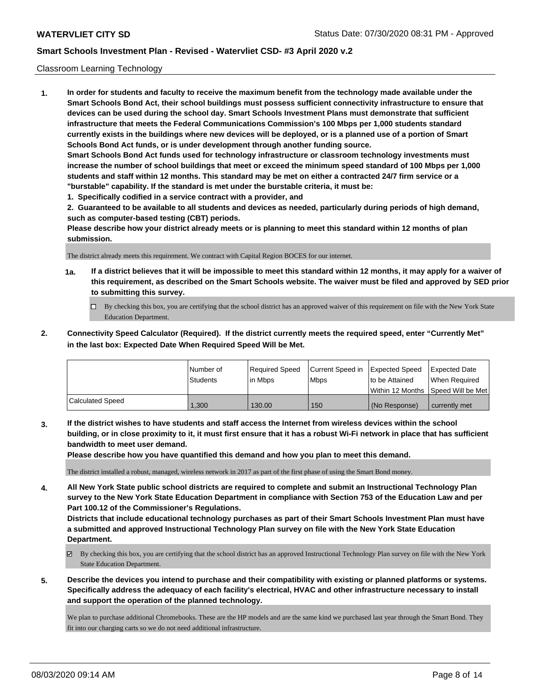### Classroom Learning Technology

**1. In order for students and faculty to receive the maximum benefit from the technology made available under the Smart Schools Bond Act, their school buildings must possess sufficient connectivity infrastructure to ensure that devices can be used during the school day. Smart Schools Investment Plans must demonstrate that sufficient infrastructure that meets the Federal Communications Commission's 100 Mbps per 1,000 students standard currently exists in the buildings where new devices will be deployed, or is a planned use of a portion of Smart Schools Bond Act funds, or is under development through another funding source. Smart Schools Bond Act funds used for technology infrastructure or classroom technology investments must increase the number of school buildings that meet or exceed the minimum speed standard of 100 Mbps per 1,000 students and staff within 12 months. This standard may be met on either a contracted 24/7 firm service or a "burstable" capability. If the standard is met under the burstable criteria, it must be:**

**1. Specifically codified in a service contract with a provider, and**

**2. Guaranteed to be available to all students and devices as needed, particularly during periods of high demand, such as computer-based testing (CBT) periods.**

**Please describe how your district already meets or is planning to meet this standard within 12 months of plan submission.**

The district already meets this requirement. We contract with Capital Region BOCES for our internet.

- **1a. If a district believes that it will be impossible to meet this standard within 12 months, it may apply for a waiver of this requirement, as described on the Smart Schools website. The waiver must be filed and approved by SED prior to submitting this survey.**
	- By checking this box, you are certifying that the school district has an approved waiver of this requirement on file with the New York State Education Department.
- **2. Connectivity Speed Calculator (Required). If the district currently meets the required speed, enter "Currently Met" in the last box: Expected Date When Required Speed Will be Met.**

|                  | l Number of     | Required Speed | Current Speed in | <b>Expected Speed</b> | <b>Expected Date</b>                    |
|------------------|-----------------|----------------|------------------|-----------------------|-----------------------------------------|
|                  | <b>Students</b> | l in Mbps      | l Mbps           | to be Attained        | When Required                           |
|                  |                 |                |                  |                       | l Within 12 Months ISpeed Will be Met l |
| Calculated Speed | .300            | 130.00         | 150              | l (No Response)       | currently met                           |

**3. If the district wishes to have students and staff access the Internet from wireless devices within the school building, or in close proximity to it, it must first ensure that it has a robust Wi-Fi network in place that has sufficient bandwidth to meet user demand.**

**Please describe how you have quantified this demand and how you plan to meet this demand.**

The district installed a robust, managed, wireless network in 2017 as part of the first phase of using the Smart Bond money.

**4. All New York State public school districts are required to complete and submit an Instructional Technology Plan survey to the New York State Education Department in compliance with Section 753 of the Education Law and per Part 100.12 of the Commissioner's Regulations.**

**Districts that include educational technology purchases as part of their Smart Schools Investment Plan must have a submitted and approved Instructional Technology Plan survey on file with the New York State Education Department.**

- By checking this box, you are certifying that the school district has an approved Instructional Technology Plan survey on file with the New York State Education Department.
- **5. Describe the devices you intend to purchase and their compatibility with existing or planned platforms or systems. Specifically address the adequacy of each facility's electrical, HVAC and other infrastructure necessary to install and support the operation of the planned technology.**

We plan to purchase additional Chromebooks. These are the HP models and are the same kind we purchased last year through the Smart Bond. They fit into our charging carts so we do not need additional infrastructure.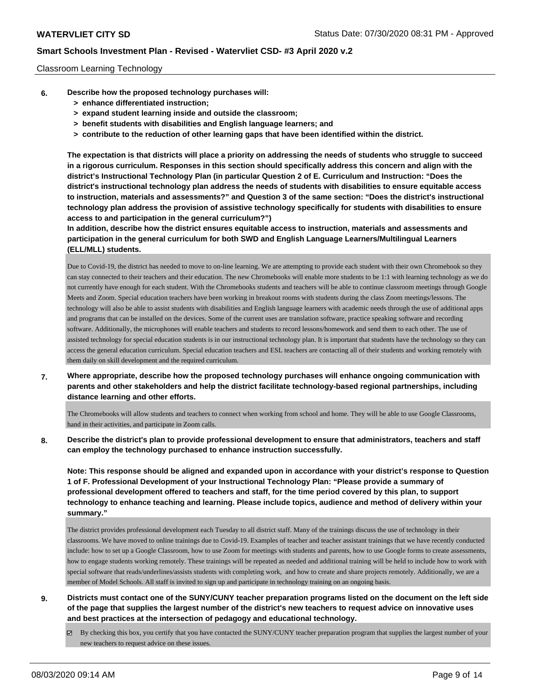### Classroom Learning Technology

- **6. Describe how the proposed technology purchases will:**
	- **> enhance differentiated instruction;**
	- **> expand student learning inside and outside the classroom;**
	- **> benefit students with disabilities and English language learners; and**
	- **> contribute to the reduction of other learning gaps that have been identified within the district.**

**The expectation is that districts will place a priority on addressing the needs of students who struggle to succeed in a rigorous curriculum. Responses in this section should specifically address this concern and align with the district's Instructional Technology Plan (in particular Question 2 of E. Curriculum and Instruction: "Does the district's instructional technology plan address the needs of students with disabilities to ensure equitable access to instruction, materials and assessments?" and Question 3 of the same section: "Does the district's instructional technology plan address the provision of assistive technology specifically for students with disabilities to ensure access to and participation in the general curriculum?")**

**In addition, describe how the district ensures equitable access to instruction, materials and assessments and participation in the general curriculum for both SWD and English Language Learners/Multilingual Learners (ELL/MLL) students.**

Due to Covid-19, the district has needed to move to on-line learning. We are attempting to provide each student with their own Chromebook so they can stay connected to their teachers and their education. The new Chromebooks will enable more students to be 1:1 with learning technology as we do not currently have enough for each student. With the Chromebooks students and teachers will be able to continue classroom meetings through Google Meets and Zoom. Special education teachers have been working in breakout rooms with students during the class Zoom meetings/lessons. The technology will also be able to assist students with disabilities and English language learners with academic needs through the use of additional apps and programs that can be installed on the devices. Some of the current uses are translation software, practice speaking software and recording software. Additionally, the microphones will enable teachers and students to record lessons/homework and send them to each other. The use of assisted technology for special education students is in our instructional technology plan. It is important that students have the technology so they can access the general education curriculum. Special education teachers and ESL teachers are contacting all of their students and working remotely with them daily on skill development and the required curriculum.

**7. Where appropriate, describe how the proposed technology purchases will enhance ongoing communication with parents and other stakeholders and help the district facilitate technology-based regional partnerships, including distance learning and other efforts.**

The Chromebooks will allow students and teachers to connect when working from school and home. They will be able to use Google Classrooms, hand in their activities, and participate in Zoom calls.

**8. Describe the district's plan to provide professional development to ensure that administrators, teachers and staff can employ the technology purchased to enhance instruction successfully.**

**Note: This response should be aligned and expanded upon in accordance with your district's response to Question 1 of F. Professional Development of your Instructional Technology Plan: "Please provide a summary of professional development offered to teachers and staff, for the time period covered by this plan, to support technology to enhance teaching and learning. Please include topics, audience and method of delivery within your summary."**

The district provides professional development each Tuesday to all district staff. Many of the trainings discuss the use of technology in their classrooms. We have moved to online trainings due to Covid-19. Examples of teacher and teacher assistant trainings that we have recently conducted include: how to set up a Google Classroom, how to use Zoom for meetings with students and parents, how to use Google forms to create assessments, how to engage students working remotely. These trainings will be repeated as needed and additional training will be held to include how to work with special software that reads/underlines/assists students with completing work, and how to create and share projects remotely. Additionally, we are a member of Model Schools. All staff is invited to sign up and participate in technology training on an ongoing basis.

- **9. Districts must contact one of the SUNY/CUNY teacher preparation programs listed on the document on the left side of the page that supplies the largest number of the district's new teachers to request advice on innovative uses and best practices at the intersection of pedagogy and educational technology.**
	- By checking this box, you certify that you have contacted the SUNY/CUNY teacher preparation program that supplies the largest number of your new teachers to request advice on these issues.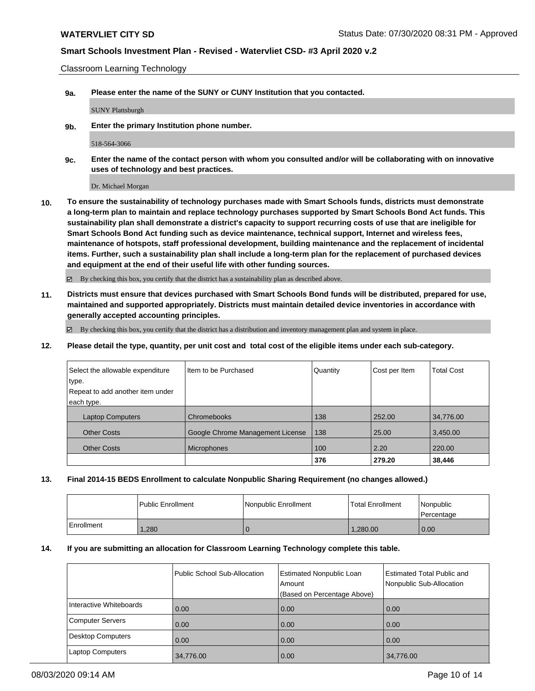Classroom Learning Technology

**9a. Please enter the name of the SUNY or CUNY Institution that you contacted.**

SUNY Plattsburgh

**9b. Enter the primary Institution phone number.**

518-564-3066

**9c. Enter the name of the contact person with whom you consulted and/or will be collaborating with on innovative uses of technology and best practices.**

Dr. Michael Morgan

**10. To ensure the sustainability of technology purchases made with Smart Schools funds, districts must demonstrate a long-term plan to maintain and replace technology purchases supported by Smart Schools Bond Act funds. This sustainability plan shall demonstrate a district's capacity to support recurring costs of use that are ineligible for Smart Schools Bond Act funding such as device maintenance, technical support, Internet and wireless fees, maintenance of hotspots, staff professional development, building maintenance and the replacement of incidental items. Further, such a sustainability plan shall include a long-term plan for the replacement of purchased devices and equipment at the end of their useful life with other funding sources.**

By checking this box, you certify that the district has a sustainability plan as described above.

**11. Districts must ensure that devices purchased with Smart Schools Bond funds will be distributed, prepared for use, maintained and supported appropriately. Districts must maintain detailed device inventories in accordance with generally accepted accounting principles.**

 $\boxtimes$  By checking this box, you certify that the district has a distribution and inventory management plan and system in place.

**12. Please detail the type, quantity, per unit cost and total cost of the eligible items under each sub-category.**

| Select the allowable expenditure | Iltem to be Purchased            | Quantity | Cost per Item | <b>Total Cost</b> |
|----------------------------------|----------------------------------|----------|---------------|-------------------|
| type.                            |                                  |          |               |                   |
| Repeat to add another item under |                                  |          |               |                   |
| each type.                       |                                  |          |               |                   |
| <b>Laptop Computers</b>          | Chromebooks                      | 138      | 252.00        | 34,776.00         |
| <b>Other Costs</b>               | Google Chrome Management License | 138      | 25.00         | 3,450.00          |
| <b>Other Costs</b>               | Microphones                      | 100      | 2.20          | 220.00            |
|                                  |                                  | 376      | 279.20        | 38,446            |

## **13. Final 2014-15 BEDS Enrollment to calculate Nonpublic Sharing Requirement (no changes allowed.)**

|            | <b>Public Enrollment</b> | l Nonpublic Enrollment | <b>Total Enrollment</b> | Nonpublic<br>l Percentage |
|------------|--------------------------|------------------------|-------------------------|---------------------------|
| Enrollment | ,280                     |                        | .280.00                 | 0.00                      |

#### **14. If you are submitting an allocation for Classroom Learning Technology complete this table.**

|                         | <b>Public School Sub-Allocation</b> | <b>Estimated Nonpublic Loan</b><br>Amount | <b>Estimated Total Public and</b><br>Nonpublic Sub-Allocation |
|-------------------------|-------------------------------------|-------------------------------------------|---------------------------------------------------------------|
|                         |                                     | (Based on Percentage Above)               |                                                               |
| Interactive Whiteboards | 0.00                                | 0.00                                      | 0.00                                                          |
| Computer Servers        | 0.00                                | 0.00                                      | 0.00                                                          |
| Desktop Computers       | 0.00                                | 0.00                                      | 0.00                                                          |
| <b>Laptop Computers</b> | 34,776.00                           | 0.00                                      | 34,776.00                                                     |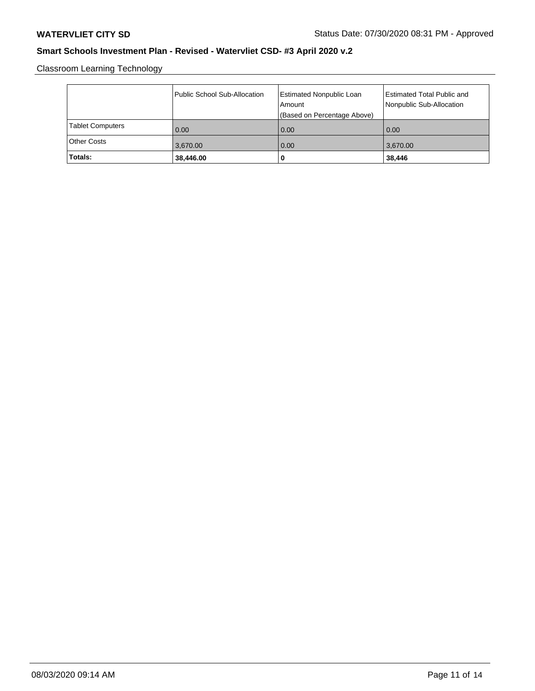Classroom Learning Technology

|                         | Public School Sub-Allocation | <b>Estimated Nonpublic Loan</b><br>Amount<br>(Based on Percentage Above) | Estimated Total Public and<br>Nonpublic Sub-Allocation |
|-------------------------|------------------------------|--------------------------------------------------------------------------|--------------------------------------------------------|
| <b>Tablet Computers</b> | 0.00                         | 0.00                                                                     | 0.00                                                   |
| Other Costs             | 3,670.00                     | 0.00                                                                     | 3,670.00                                               |
| Totals:                 | 38,446.00                    | 0                                                                        | 38,446                                                 |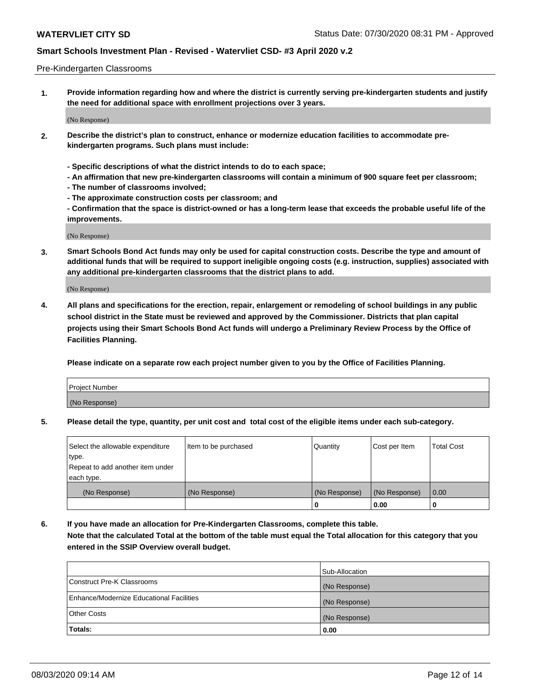#### Pre-Kindergarten Classrooms

**1. Provide information regarding how and where the district is currently serving pre-kindergarten students and justify the need for additional space with enrollment projections over 3 years.**

(No Response)

- **2. Describe the district's plan to construct, enhance or modernize education facilities to accommodate prekindergarten programs. Such plans must include:**
	- **Specific descriptions of what the district intends to do to each space;**
	- **An affirmation that new pre-kindergarten classrooms will contain a minimum of 900 square feet per classroom;**
	- **The number of classrooms involved;**
	- **The approximate construction costs per classroom; and**
	- **Confirmation that the space is district-owned or has a long-term lease that exceeds the probable useful life of the improvements.**

(No Response)

**3. Smart Schools Bond Act funds may only be used for capital construction costs. Describe the type and amount of additional funds that will be required to support ineligible ongoing costs (e.g. instruction, supplies) associated with any additional pre-kindergarten classrooms that the district plans to add.**

(No Response)

**4. All plans and specifications for the erection, repair, enlargement or remodeling of school buildings in any public school district in the State must be reviewed and approved by the Commissioner. Districts that plan capital projects using their Smart Schools Bond Act funds will undergo a Preliminary Review Process by the Office of Facilities Planning.**

**Please indicate on a separate row each project number given to you by the Office of Facilities Planning.**

| Project Number |  |
|----------------|--|
| (No Response)  |  |
|                |  |

**5. Please detail the type, quantity, per unit cost and total cost of the eligible items under each sub-category.**

| Select the allowable expenditure | Item to be purchased | Quantity      | Cost per Item | <b>Total Cost</b> |
|----------------------------------|----------------------|---------------|---------------|-------------------|
| type.                            |                      |               |               |                   |
| Repeat to add another item under |                      |               |               |                   |
| each type.                       |                      |               |               |                   |
| (No Response)                    | (No Response)        | (No Response) | (No Response) | 0.00              |
|                                  |                      | U             | 0.00          |                   |

**6. If you have made an allocation for Pre-Kindergarten Classrooms, complete this table. Note that the calculated Total at the bottom of the table must equal the Total allocation for this category that you entered in the SSIP Overview overall budget.**

| Totals:                                  | 0.00           |
|------------------------------------------|----------------|
| <b>Other Costs</b>                       | (No Response)  |
| Enhance/Modernize Educational Facilities | (No Response)  |
| Construct Pre-K Classrooms               | (No Response)  |
|                                          | Sub-Allocation |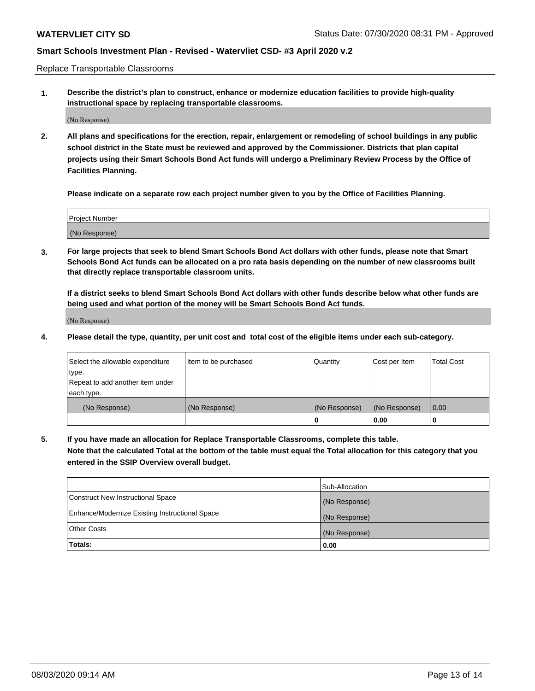Replace Transportable Classrooms

**1. Describe the district's plan to construct, enhance or modernize education facilities to provide high-quality instructional space by replacing transportable classrooms.**

(No Response)

**2. All plans and specifications for the erection, repair, enlargement or remodeling of school buildings in any public school district in the State must be reviewed and approved by the Commissioner. Districts that plan capital projects using their Smart Schools Bond Act funds will undergo a Preliminary Review Process by the Office of Facilities Planning.**

**Please indicate on a separate row each project number given to you by the Office of Facilities Planning.**

| Project Number |  |
|----------------|--|
|                |  |
|                |  |
|                |  |
|                |  |
| (No Response)  |  |
|                |  |
|                |  |
|                |  |

**3. For large projects that seek to blend Smart Schools Bond Act dollars with other funds, please note that Smart Schools Bond Act funds can be allocated on a pro rata basis depending on the number of new classrooms built that directly replace transportable classroom units.**

**If a district seeks to blend Smart Schools Bond Act dollars with other funds describe below what other funds are being used and what portion of the money will be Smart Schools Bond Act funds.**

(No Response)

**4. Please detail the type, quantity, per unit cost and total cost of the eligible items under each sub-category.**

| Select the allowable expenditure | Item to be purchased | Quantity      | Cost per Item | Total Cost |
|----------------------------------|----------------------|---------------|---------------|------------|
| ∣type.                           |                      |               |               |            |
| Repeat to add another item under |                      |               |               |            |
| each type.                       |                      |               |               |            |
| (No Response)                    | (No Response)        | (No Response) | (No Response) | 0.00       |
|                                  |                      | u             | 0.00          |            |

**5. If you have made an allocation for Replace Transportable Classrooms, complete this table. Note that the calculated Total at the bottom of the table must equal the Total allocation for this category that you entered in the SSIP Overview overall budget.**

|                                                | Sub-Allocation |
|------------------------------------------------|----------------|
| Construct New Instructional Space              | (No Response)  |
| Enhance/Modernize Existing Instructional Space | (No Response)  |
| Other Costs                                    | (No Response)  |
| Totals:                                        | 0.00           |